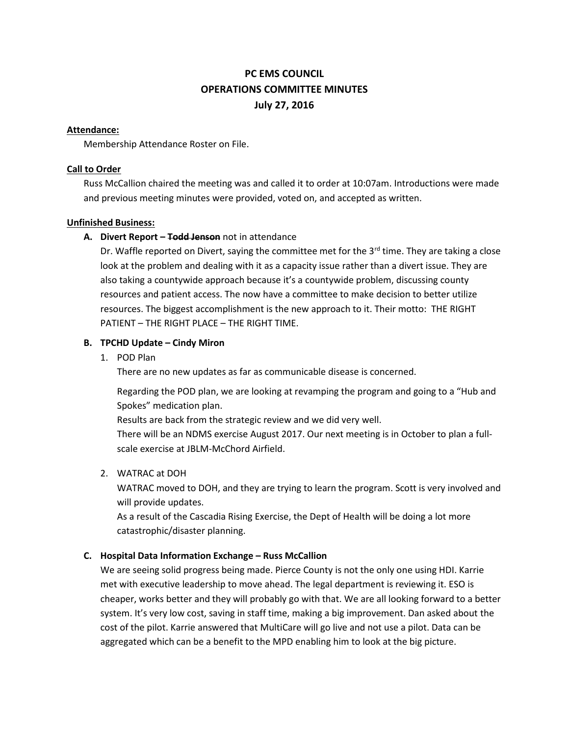# **PC EMS COUNCIL OPERATIONS COMMITTEE MINUTES July 27, 2016**

#### **Attendance:**

Membership Attendance Roster on File.

# **Call to Order**

Russ McCallion chaired the meeting was and called it to order at 10:07am. Introductions were made and previous meeting minutes were provided, voted on, and accepted as written.

# **Unfinished Business:**

# **A. Divert Report – Todd Jenson** not in attendance

Dr. Waffle reported on Divert, saying the committee met for the  $3<sup>rd</sup>$  time. They are taking a close look at the problem and dealing with it as a capacity issue rather than a divert issue. They are also taking a countywide approach because it's a countywide problem, discussing county resources and patient access. The now have a committee to make decision to better utilize resources. The biggest accomplishment is the new approach to it. Their motto: THE RIGHT PATIENT – THE RIGHT PLACE – THE RIGHT TIME.

# **B. TPCHD Update – Cindy Miron**

1. POD Plan

There are no new updates as far as communicable disease is concerned.

Regarding the POD plan, we are looking at revamping the program and going to a "Hub and Spokes" medication plan.

Results are back from the strategic review and we did very well.

There will be an NDMS exercise August 2017. Our next meeting is in October to plan a fullscale exercise at JBLM-McChord Airfield.

# 2. WATRAC at DOH

WATRAC moved to DOH, and they are trying to learn the program. Scott is very involved and will provide updates.

As a result of the Cascadia Rising Exercise, the Dept of Health will be doing a lot more catastrophic/disaster planning.

# **C. Hospital Data Information Exchange – Russ McCallion**

We are seeing solid progress being made. Pierce County is not the only one using HDI. Karrie met with executive leadership to move ahead. The legal department is reviewing it. ESO is cheaper, works better and they will probably go with that. We are all looking forward to a better system. It's very low cost, saving in staff time, making a big improvement. Dan asked about the cost of the pilot. Karrie answered that MultiCare will go live and not use a pilot. Data can be aggregated which can be a benefit to the MPD enabling him to look at the big picture.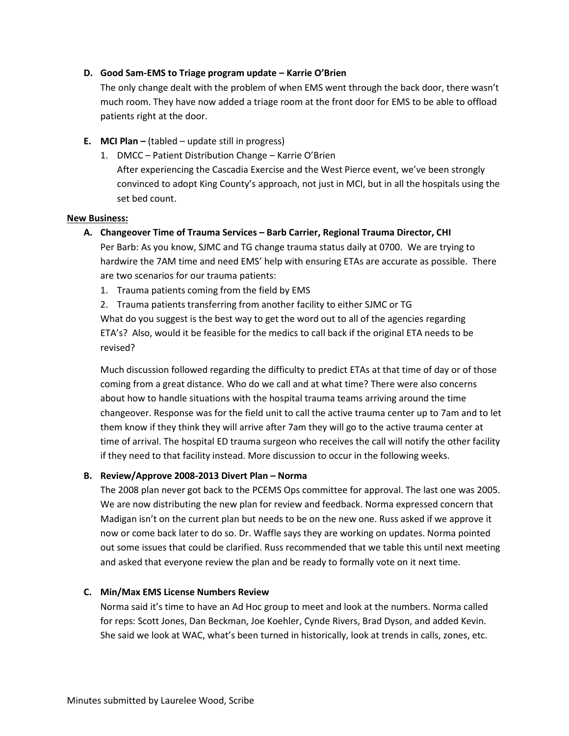# **D. Good Sam-EMS to Triage program update – Karrie O'Brien**

The only change dealt with the problem of when EMS went through the back door, there wasn't much room. They have now added a triage room at the front door for EMS to be able to offload patients right at the door.

- **E. MCI Plan –** (tabled update still in progress)
	- 1. DMCC Patient Distribution Change Karrie O'Brien After experiencing the Cascadia Exercise and the West Pierce event, we've been strongly convinced to adopt King County's approach, not just in MCI, but in all the hospitals using the set bed count.

#### **New Business:**

# **A. Changeover Time of Trauma Services – Barb Carrier, Regional Trauma Director, CHI**

Per Barb: As you know, SJMC and TG change trauma status daily at 0700. We are trying to hardwire the 7AM time and need EMS' help with ensuring ETAs are accurate as possible. There are two scenarios for our trauma patients:

- 1. Trauma patients coming from the field by EMS
- 2. Trauma patients transferring from another facility to either SJMC or TG

What do you suggest is the best way to get the word out to all of the agencies regarding ETA's? Also, would it be feasible for the medics to call back if the original ETA needs to be revised?

Much discussion followed regarding the difficulty to predict ETAs at that time of day or of those coming from a great distance. Who do we call and at what time? There were also concerns about how to handle situations with the hospital trauma teams arriving around the time changeover. Response was for the field unit to call the active trauma center up to 7am and to let them know if they think they will arrive after 7am they will go to the active trauma center at time of arrival. The hospital ED trauma surgeon who receives the call will notify the other facility if they need to that facility instead. More discussion to occur in the following weeks.

# B. Review/Approve 2008-2013 Divert Plan - Norma

The 2008 plan never got back to the PCEMS Ops committee for approval. The last one was 2005. We are now distributing the new plan for review and feedback. Norma expressed concern that Madigan isn't on the current plan but needs to be on the new one. Russ asked if we approve it now or come back later to do so. Dr. Waffle says they are working on updates. Norma pointed out some issues that could be clarified. Russ recommended that we table this until next meeting and asked that everyone review the plan and be ready to formally vote on it next time.

# **C. Min/Max EMS License Numbers Review**

Norma said it's time to have an Ad Hoc group to meet and look at the numbers. Norma called for reps: Scott Jones, Dan Beckman, Joe Koehler, Cynde Rivers, Brad Dyson, and added Kevin. She said we look at WAC, what's been turned in historically, look at trends in calls, zones, etc.